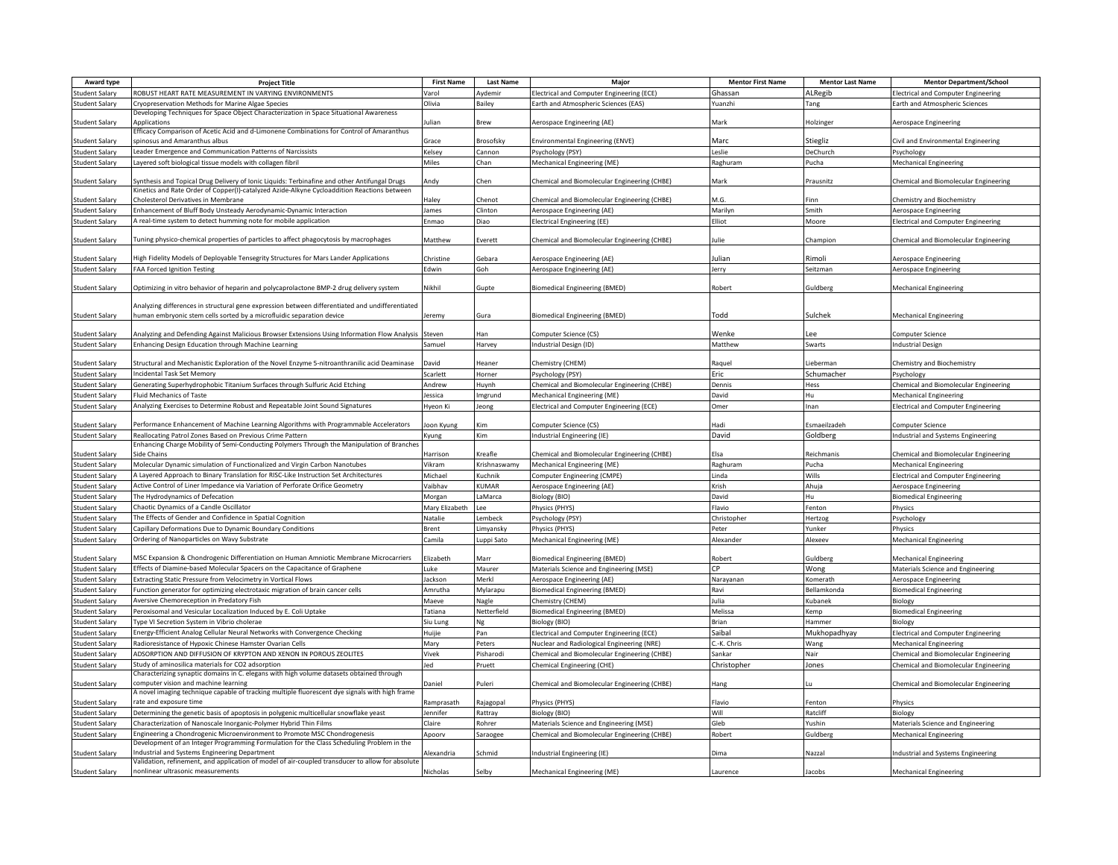| Award type            | <b>Project Title</b>                                                                             | <b>First Name</b> | <b>Last Name</b> | Maior                                        | <b>Mentor First Name</b> | <b>Mentor Last Name</b> | <b>Mentor Department/School</b>            |
|-----------------------|--------------------------------------------------------------------------------------------------|-------------------|------------------|----------------------------------------------|--------------------------|-------------------------|--------------------------------------------|
| <b>Student Salary</b> | ROBUST HEART RATE MEASUREMENT IN VARYING ENVIRONMENTS                                            | Varol             | Aydemir          | Electrical and Computer Engineering (ECE)    | Ghassan                  | ALRegib                 | <b>Electrical and Computer Engineering</b> |
| <b>Student Salary</b> | Cryopreservation Methods for Marine Algae Species                                                | Olivia            | Bailey           | Earth and Atmospheric Sciences (EAS)         | Yuanzhi                  | Tang                    | Earth and Atmospheric Sciences             |
|                       | Developing Techniques for Space Object Characterization in Space Situational Awareness           |                   |                  |                                              |                          |                         |                                            |
| <b>Student Salary</b> | Applications                                                                                     | Julian            | Brew             | Aerospace Engineering (AE)                   | Mark                     | Holzinger               | Aerospace Engineering                      |
|                       | Efficacy Comparison of Acetic Acid and d-Limonene Combinations for Control of Amaranthus         |                   |                  |                                              |                          |                         |                                            |
| <b>Student Salary</b> | spinosus and Amaranthus albus                                                                    | Grace             | Brosofsky        | Environmental Engineering (ENVE)             | Marc                     | Stiegliz                | Civil and Environmental Engineering        |
| <b>Student Salary</b> | eader Emergence and Communication Patterns of Narcissists                                        | Kelsey            | Cannon           | Psychology (PSY)                             | Leslie                   | DeChurch                | Psychology                                 |
| <b>Student Salary</b> | Layered soft biological tissue models with collagen fibril                                       | Miles             | Chan             | Mechanical Engineering (ME)                  | Raghuram                 | Pucha                   | <b>Mechanical Engineering</b>              |
|                       |                                                                                                  |                   |                  |                                              |                          |                         |                                            |
| <b>Student Salary</b> | Synthesis and Topical Drug Delivery of Ionic Liquids: Terbinafine and other Antifungal Drugs     | Andy              | Chen             | Chemical and Biomolecular Engineering (CHBE) | Mark                     | Prausnitz               | Chemical and Biomolecular Engineering      |
|                       | Kinetics and Rate Order of Copper(I)-catalyzed Azide-Alkyne Cycloaddition Reactions between      |                   |                  |                                              |                          |                         |                                            |
| <b>Student Salary</b> | Cholesterol Derivatives in Membrane                                                              | Haley             | Chenot           | Chemical and Biomolecular Engineering (CHBE) | M.G.                     | Finn                    | Chemistry and Biochemistry                 |
| Student Salary        | Enhancement of Bluff Body Unsteady Aerodynamic-Dynamic Interaction                               | lames             | Clinton          | Aerospace Engineering (AE)                   | Marilyn                  | Smith                   | Aerospace Engineering                      |
| <b>Student Salary</b> | A real-time system to detect humming note for mobile application                                 | Enmao             | Diao             | Electrical Engineering (EE)                  | Elliot                   | Moore                   | <b>Electrical and Computer Engineering</b> |
|                       |                                                                                                  |                   |                  |                                              |                          |                         |                                            |
| <b>Student Salary</b> | Tuning physico-chemical properties of particles to affect phagocytosis by macrophages            | Matthew           | Everett          | Chemical and Biomolecular Engineering (CHBE) | Julie                    | Champion                | Chemical and Biomolecular Engineering      |
|                       |                                                                                                  |                   |                  |                                              |                          |                         |                                            |
| <b>Student Salary</b> | High Fidelity Models of Deployable Tensegrity Structures for Mars Lander Applications            | Christine         | Gebara           | Aerospace Engineering (AE)                   | Julian                   | Rimoli                  | Aerospace Engineering                      |
| <b>Student Salary</b> | <b>FAA Forced Ignition Testing</b>                                                               | Edwin             | Goh              | Aerospace Engineering (AE)                   | Jerry                    | Seitzman                | Aerospace Engineering                      |
|                       |                                                                                                  |                   |                  |                                              |                          |                         |                                            |
| <b>Student Salary</b> | Optimizing in vitro behavior of heparin and polycaprolactone BMP-2 drug delivery system          | Nikhil            | Gupte            | Biomedical Engineering (BMED)                | Robert                   | Guldberg                | Mechanical Engineering                     |
|                       |                                                                                                  |                   |                  |                                              |                          |                         |                                            |
|                       | Analyzing differences in structural gene expression between differentiated and undifferentiated  |                   |                  |                                              |                          |                         |                                            |
| <b>Student Salary</b> | numan embryonic stem cells sorted by a microfluidic separation device                            | Jeremy            | Gura             | <b>Biomedical Engineering (BMED)</b>         | hhoT                     | Sulchek                 | Mechanical Engineering                     |
|                       |                                                                                                  |                   |                  |                                              |                          |                         |                                            |
| <b>Student Salary</b> | Analyzing and Defending Against Malicious Browser Extensions Using Information Flow Analysis     | Steven            | <b>Han</b>       | Computer Science (CS)                        | Wenke                    | $\mathsf{e}\mathsf{e}$  | Computer Science                           |
| <b>Student Salary</b> | Enhancing Design Education through Machine Learning                                              | Samuel            | Harvey           | ndustrial Design (ID)                        | Matthew                  | Swarts                  | <b>Industrial Design</b>                   |
|                       |                                                                                                  |                   |                  |                                              |                          |                         |                                            |
| <b>Student Salary</b> | Structural and Mechanistic Exploration of the Novel Enzyme 5-nitroanthranilic acid Deaminase     | David             | Heaner           | Chemistry (CHEM)                             | Raguel                   | Lieberman               | Chemistry and Biochemistry                 |
| <b>Student Salary</b> | Incidental Task Set Memory                                                                       | Scarlett          | Horner           | Psychology (PSY)                             | Eric                     | Schumacher              | Psychology                                 |
| <b>Student Salary</b> | Generating Superhydrophobic Titanium Surfaces through Sulfuric Acid Etching                      | Andrew            | Huynh            | Chemical and Biomolecular Engineering (CHBE) | Dennis                   | Hess                    | Chemical and Biomolecular Engineering      |
| <b>Student Salary</b> | <b>Fluid Mechanics of Taste</b>                                                                  | Jessica           | Imerund          | Mechanical Engineering (ME)                  | David                    | Hu                      | <b>Mechanical Engineering</b>              |
| <b>Student Salary</b> | Analyzing Exercises to Determine Robust and Repeatable Joint Sound Signatures                    | Hyeon Ki          | leong            | Electrical and Computer Engineering (ECE)    | Omer                     | Inan                    | <b>Electrical and Computer Engineering</b> |
|                       |                                                                                                  |                   |                  |                                              |                          |                         |                                            |
| <b>Student Salary</b> | Performance Enhancement of Machine Learning Algorithms with Programmable Accelerators            | oon Kyung         | Kim              | Computer Science (CS)                        | Hadi                     | Esmaeilzadeh            | Computer Science                           |
| <b>Student Salary</b> | Reallocating Patrol Zones Based on Previous Crime Pattern                                        | Kyung             | Kim              | Industrial Engineering (IE)                  | David                    | Goldberg                | Industrial and Systems Engineering         |
|                       | Enhancing Charge Mobility of Semi-Conducting Polymers Through the Manipulation of Branches       |                   |                  |                                              |                          |                         |                                            |
| <b>Student Salary</b> | Side Chains                                                                                      | Harrison          | Kreafle          | Chemical and Biomolecular Engineering (CHBE) | Fisa                     | Reichmanis              | Chemical and Biomolecular Engineering      |
| <b>Student Salary</b> | Molecular Dynamic simulation of Functionalized and Virgin Carbon Nanotubes                       | Vikram            | Krishnaswamy     | Mechanical Engineering (ME)                  | Raghuram                 | Pucha                   | Mechanical Engineering                     |
| <b>Student Salary</b> | A Layered Approach to Binary Translation for RISC-Like Instruction Set Architectures             | Michael           | Kuchnik          | Computer Engineering (CMPE)                  | Linda                    | Wills                   | <b>Electrical and Computer Engineering</b> |
|                       |                                                                                                  |                   |                  |                                              |                          |                         |                                            |
| <b>Student Salary</b> | Active Control of Liner Impedance via Variation of Perforate Orifice Geometry                    | Vaibhav           | KUMAR            | Aerospace Engineering (AE)                   | Krish                    | Ahuja                   | Aerospace Engineering                      |
| <b>Student Salary</b> | The Hydrodynamics of Defecation                                                                  | Morgan            | LaMarca          | Biology (BIO)                                | David                    | Hu                      | <b>Biomedical Engineering</b>              |
| Student Salary        | Chaotic Dynamics of a Candle Oscillator                                                          | Mary Elizabeth    | Lee              | Physics (PHYS)                               | Flavio                   | Fenton                  | Physics                                    |
| <b>Student Salary</b> | The Effects of Gender and Confidence in Spatial Cognition                                        | Natalie           | Lembeck          | Psychology (PSY)                             | Christopher              | Hertzog                 | Psychology                                 |
| <b>Student Salary</b> | Capillary Deformations Due to Dynamic Boundary Conditions                                        | Brent             | .imvansky        | Physics (PHYS)                               | Peter                    | Yunker                  | Physics                                    |
| <b>Student Salary</b> | Ordering of Nanoparticles on Wavy Substrate                                                      | Camila            | Luppi Sato       | Mechanical Engineering (ME)                  | Alexander                | Alexeev                 | <b>Mechanical Engineering</b>              |
|                       |                                                                                                  |                   |                  |                                              |                          |                         |                                            |
| <b>Student Salary</b> | MSC Expansion & Chondrogenic Differentiation on Human Amniotic Membrane Microcarriers            | Elizabeth         | Marr             | <b>Biomedical Engineering (BMED)</b>         | Robert                   | Guldberg                | Mechanical Engineering                     |
| <b>Student Salary</b> | Effects of Diamine-based Molecular Spacers on the Capacitance of Graphene                        | Luke              | Maurer           | Materials Science and Engineering (MSE)      | C <sub>P</sub>           | Wong                    | Materials Science and Engineering          |
| <b>Student Salary</b> | Extracting Static Pressure from Velocimetry in Vortical Flows                                    | Jackson           | Merkl            | Aerospace Engineering (AE)                   | Narayanan                | Komerath                | Aerospace Engineering                      |
| <b>Student Salary</b> | Function generator for optimizing electrotaxic migration of brain cancer cells                   | Amrutha           | Mylarapu         | Biomedical Engineering (BMED)                | Ravi                     | Bellamkonda             | <b>Biomedical Engineering</b>              |
| Student Salary        | Aversive Chemoreception in Predatory Fish                                                        | Maeve             | Nagle            | hemistry (CHEM)                              | Julia                    | Kubanek                 | Biology                                    |
| <b>Student Salary</b> | Peroxisomal and Vesicular Localization Induced by E. Coli Uptake                                 | Tatiana           | Netterfield      | Biomedical Engineering (BMED)                | Melissa                  |                         | <b>Biomedical Engineering</b>              |
|                       |                                                                                                  |                   |                  |                                              |                          | Kemp                    |                                            |
| <b>Student Salary</b> | Type VI Secretion System in Vibrio cholerae                                                      | Siu Lung          | Ng               | Biology (BIO)                                | Brian                    | Hammer                  | Biology                                    |
| <b>Student Salary</b> | Energy-Efficient Analog Cellular Neural Networks with Convergence Checking                       | Huijie            | Pan              | Electrical and Computer Engineering (ECE)    | Saibal                   | Mukhopadhyay            | <b>Electrical and Computer Engineering</b> |
| <b>Student Salary</b> | Radioresistance of Hypoxic Chinese Hamster Ovarian Cells                                         | Mary              | Peters           | Nuclear and Radiological Engineering (NRE)   | C.-K. Chris              | Wang                    | Mechanical Engineering                     |
| <b>Student Salary</b> | ADSORPTION AND DIFFUSION OF KRYPTON AND XENON IN POROUS ZEOLITES                                 | Vivek             | Pisharodi        | Chemical and Biomolecular Engineering (CHBE) | Sankar                   | Nair                    | Chemical and Biomolecular Engineering      |
| <b>Student Salary</b> | Study of aminosilica materials for CO2 adsorption                                                | Jed               | Pruett           | Chemical Engineering (CHE)                   | Christopher              | Jones                   | Chemical and Biomolecular Engineering      |
|                       | Characterizing synaptic domains in C. elegans with high volume datasets obtained through         |                   |                  |                                              |                          |                         |                                            |
| <b>Student Salary</b> | computer vision and machine learning                                                             | Daniel            | Puleri           | Chemical and Biomolecular Engineering (CHBE) | Hang                     |                         | Chemical and Biomolecular Engineering      |
|                       | A novel imaging technique capable of tracking multiple fluorescent dye signals with high frame   |                   |                  |                                              |                          |                         |                                            |
| <b>Student Salary</b> | rate and exposure time                                                                           | Ramprasath        | Rajagopal        | Physics (PHYS)                               | Flavio                   | Fenton                  | Physics                                    |
| <b>Student Salary</b> | Determining the genetic basis of apoptosis in polygenic multicellular snowflake yeast            | lennifer          | Rattray          | Biology (BIO)                                | Will                     | Ratcliff                | Biology                                    |
| <b>Student Salary</b> | Characterization of Nanoscale Inorganic-Polymer Hybrid Thin Films                                | Claire            | Rohrer           | Materials Science and Engineering (MSE)      | Gleb                     | Yushin                  | Materials Science and Engineering          |
| <b>Student Salary</b> | Engineering a Chondrogenic Microenvironment to Promote MSC Chondrogenesis                        | Apoorv            | Saraogee         | Chemical and Biomolecular Engineering (CHBE) | Robert                   | Guldberg                | <b>Mechanical Engineering</b>              |
|                       | Development of an Integer Programming Formulation for the Class Scheduling Problem in the        |                   |                  |                                              |                          |                         |                                            |
| <b>Student Salary</b> | Industrial and Systems Engineering Department                                                    | Alexandria        | Schmid           | ndustrial Engineering (IE)                   | Dima                     | Nazzal                  | Industrial and Systems Engineering         |
|                       | Validation, refinement, and application of model of air-coupled transducer to allow for absolute |                   |                  |                                              |                          |                         |                                            |
| <b>Student Salary</b> | nonlinear ultrasonic measurements                                                                | Nicholas          | Selby            | Mechanical Engineering (ME)                  | Laurence                 | Jacobs                  | <b>Mechanical Engineering</b>              |
|                       |                                                                                                  |                   |                  |                                              |                          |                         |                                            |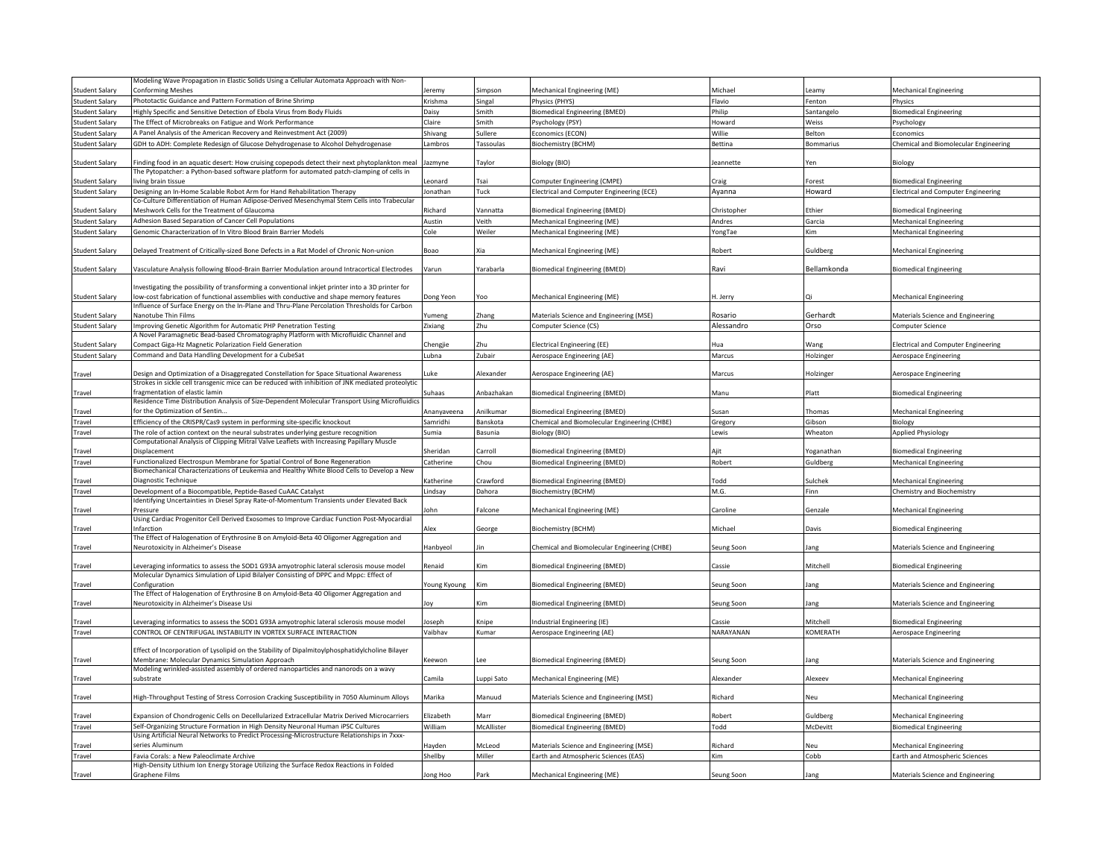|                       | Modeling Wave Propagation in Elastic Solids Using a Cellular Automata Approach with Non-                                                                                                    |                  |                        |                                              |             |             |                                            |
|-----------------------|---------------------------------------------------------------------------------------------------------------------------------------------------------------------------------------------|------------------|------------------------|----------------------------------------------|-------------|-------------|--------------------------------------------|
| <b>Student Salary</b> | <b>Conforming Meshes</b>                                                                                                                                                                    | eremv            | Simpson                | Mechanical Engineering (ME)                  | Michael     | Leamv       | Mechanical Engineering                     |
| <b>Student Salary</b> | Phototactic Guidance and Pattern Formation of Brine Shrimp                                                                                                                                  | Krishma          | Singal                 | Physics (PHYS)                               | Flavio      | Fenton      | Physics                                    |
| <b>Student Salary</b> | Highly Specific and Sensitive Detection of Ebola Virus from Body Fluids                                                                                                                     | Daisy            | Smith                  | siomedical Engineering (BMED)                | Philip      | Santangelo  | <b>Biomedical Engineering</b>              |
| <b>Student Salary</b> | The Effect of Microbreaks on Fatigue and Work Performance                                                                                                                                   | Claire           | Smith                  | Psychology (PSY)                             | Howard      | Weiss       | Psychology                                 |
| <b>Student Salary</b> | A Panel Analysis of the American Recovery and Reinvestment Act (2009)                                                                                                                       | Shivang          | Sullere                | Economics (ECON)                             | Willie      | Belton      | Economics                                  |
|                       |                                                                                                                                                                                             |                  |                        |                                              |             |             |                                            |
| <b>Student Salary</b> | GDH to ADH: Complete Redesign of Glucose Dehydrogenase to Alcohol Dehydrogenase                                                                                                             | Lambros          | Tassoulas              | Biochemistry (BCHM)                          | Bettina     | Bommarius   | Chemical and Biomolecular Engineering      |
| <b>Student Salary</b> | Finding food in an aquatic desert: How cruising copepods detect their next phytoplankton meal<br>The Pytopatcher: a Python-based software platform for automated patch-clamping of cells in | Jazmyne          | Taylor                 | Biology (BIO)                                | leannette   | Yen         | Biology                                    |
| Student Salary        | iving brain tissue                                                                                                                                                                          | eonard           | Tsai                   |                                              | Craig       | Forest      |                                            |
|                       |                                                                                                                                                                                             |                  |                        | Computer Engineering (CMPE)                  |             |             | <b>Biomedical Engineering</b>              |
| <b>Student Salary</b> | Designing an In-Home Scalable Robot Arm for Hand Rehabilitation Therapy                                                                                                                     | Jonathan         | Tuck                   | Electrical and Computer Engineering (ECE)    | Ayanna      | Howard      | <b>Electrical and Computer Engineering</b> |
|                       | Co-Culture Differentiation of Human Adipose-Derived Mesenchymal Stem Cells into Trabecular                                                                                                  |                  |                        |                                              |             |             |                                            |
| Student Salary        | Meshwork Cells for the Treatment of Glaucoma                                                                                                                                                | Richard          | Vannatta               | Biomedical Engineering (BMED)                | Christopher | Ethier      | <b>Biomedical Engineering</b>              |
| <b>Student Salary</b> | Adhesion Based Separation of Cancer Cell Populations                                                                                                                                        | Austin           | Veith                  | Mechanical Engineering (ME)                  | Andres      | Garcia      | Mechanical Engineering                     |
| <b>Student Salary</b> | Genomic Characterization of In Vitro Blood Brain Barrier Models                                                                                                                             | Cole             | Weiler                 | Mechanical Engineering (ME)                  | YongTae     | Kim         | Mechanical Engineering                     |
| <b>Student Salary</b> | Delayed Treatment of Critically-sized Bone Defects in a Rat Model of Chronic Non-union                                                                                                      | Boao             | Xia                    | Mechanical Engineering (ME)                  | Robert      | Guldberg    | <b>Mechanical Engineering</b>              |
| <b>Student Salary</b> | Vasculature Analysis following Blood-Brain Barrier Modulation around Intracortical Electrodes                                                                                               | Varun            | Yarabarla              | <b>Biomedical Engineering (BMED)</b>         | Ravi        | Bellamkonda | <b>Biomedical Engineering</b>              |
|                       |                                                                                                                                                                                             |                  |                        |                                              |             |             |                                            |
|                       | nvestigating the possibility of transforming a conventional inkjet printer into a 3D printer for                                                                                            |                  |                        |                                              |             |             |                                            |
| <b>Student Salary</b> | low-cost fabrication of functional assemblies with conductive and shape memory features                                                                                                     | Dong Yeon        | Yoo                    | Mechanical Engineering (ME)                  | H. Jerry    |             | Mechanical Engineering                     |
|                       | nfluence of Surface Energy on the In-Plane and Thru-Plane Percolation Thresholds for Carbon                                                                                                 |                  |                        |                                              |             |             |                                            |
| Student Salary        | <b>Nanotube Thin Films</b>                                                                                                                                                                  | umeng            | <b>Zhane</b>           | Materials Science and Engineering (MSE)      | Rosario     | Gerhardt    | Materials Science and Engineering          |
| <b>Student Salary</b> | Improving Genetic Algorithm for Automatic PHP Penetration Testing                                                                                                                           | Zixiang          | Zhu                    | Computer Science (CS)                        | Alessandro  | Orso        | Computer Science                           |
|                       | A Novel Paramagnetic Bead-based Chromatography Platform with Microfluidic Channel and                                                                                                       |                  |                        |                                              |             |             |                                            |
| <b>Student Salary</b> | Compact Giga-Hz Magnetic Polarization Field Generation                                                                                                                                      | Chengjie         | Zhu                    | Electrical Engineering (EE)                  | Hua         | Wang        | Electrical and Computer Engineering        |
| <b>Student Salary</b> | Command and Data Handling Development for a CubeSat                                                                                                                                         | Lubna            | Zubair                 | Aerospace Engineering (AE)                   | Marcus      | Holzinger   | Aerospace Engineering                      |
|                       |                                                                                                                                                                                             |                  |                        |                                              |             |             |                                            |
| Travel                | Design and Optimization of a Disaggregated Constellation for Space Situational Awareness                                                                                                    | uke              | Alexander              | Aerospace Engineering (AE)                   | Marcus      | Holzinger   | Aerospace Engineering                      |
|                       | Strokes in sickle cell transgenic mice can be reduced with inhibition of JNK mediated proteolytic                                                                                           |                  |                        |                                              |             |             |                                            |
| Travel                | fragmentation of elastic lamin                                                                                                                                                              | uhaas            | Anbazhakan             | Biomedical Engineering (BMED)                | Manu        | Platt       | <b>Biomedical Engineering</b>              |
|                       | Residence Time Distribution Analysis of Size-Dependent Molecular Transport Using Microfluidics                                                                                              |                  |                        |                                              |             |             |                                            |
| rave                  | for the Optimization of Sentin                                                                                                                                                              | Ananvaveena      | Anilkumar              | Biomedical Engineering (BMED)                | Susan       | Thomas      | Mechanical Engineering                     |
| Travel                | Efficiency of the CRISPR/Cas9 system in performing site-specific knockout                                                                                                                   | Samridhi         | Banskota               | Chemical and Biomolecular Engineering (CHBE) | Gregory     | Gibson      | Biology                                    |
| Travel                | The role of action context on the neural substrates underlying gesture recognition                                                                                                          | Sumia            | Basunia                | iology (BIO)                                 | Lewis       | Wheaton     | <b>Applied Physiology</b>                  |
|                       | Computational Analysis of Clipping Mitral Valve Leaflets with Increasing Papillary Muscle                                                                                                   |                  |                        |                                              |             |             |                                            |
| rave                  | Displacement                                                                                                                                                                                | Sheridan         | arroll <sup>-</sup>    | <b>Biomedical Engineering (BMED)</b>         | Ajit        | Yoganathar  | <b>Biomedical Engineering</b>              |
| Travel                | Functionalized Electrospun Membrane for Spatial Control of Bone Regeneration                                                                                                                | Catherine        | Chou                   | <b>Siomedical Engineering (BMED)</b>         | Robert      | Guldberg    | <b>Mechanical Engineering</b>              |
|                       | Biomechanical Characterizations of Leukemia and Healthy White Blood Cells to Develop a New                                                                                                  |                  |                        |                                              |             |             |                                            |
| Trave                 | Diagnostic Technique                                                                                                                                                                        | <b>Catherine</b> | `rawford               | Biomedical Engineering (BMED)                | bboT        | Sulchek     | Mechanical Engineering                     |
| Travel                | Development of a Biocompatible, Peptide-Based CuAAC Catalyst                                                                                                                                | Lindsay          | Dahora                 | Biochemistry (BCHM)                          | M.G.        | Finn        | Chemistry and Biochemistry                 |
|                       | Identifying Uncertainties in Diesel Spray Rate-of-Momentum Transients under Elevated Back                                                                                                   |                  |                        |                                              |             |             |                                            |
| Travel                | Pressure                                                                                                                                                                                    | ohn              | alcone                 | Mechanical Engineering (ME)                  | Caroline    | Genzale     | <b>Mechanical Engineering</b>              |
|                       | Using Cardiac Progenitor Cell Derived Exosomes to Improve Cardiac Function Post-Myocardial                                                                                                  |                  |                        |                                              |             |             |                                            |
| Travel                | Infarction                                                                                                                                                                                  | Alex             | George                 | Biochemistry (BCHM)                          | Michael     | Davis       | <b>Biomedical Engineering</b>              |
|                       | The Effect of Halogenation of Erythrosine B on Amyloid-Beta 40 Oligomer Aggregation and                                                                                                     |                  |                        |                                              |             |             |                                            |
| Travel                | Neurotoxicity in Alzheimer's Disease                                                                                                                                                        | Hanbyeol         | in                     | Chemical and Biomolecular Engineering (CHBE) | Seung Soon  | Jang        | Materials Science and Engineering          |
|                       | Leveraging informatics to assess the SOD1 G93A amyotrophic lateral sclerosis mouse model                                                                                                    |                  | Kim                    |                                              |             |             |                                            |
| Travel                | Molecular Dynamics Simulation of Lipid Bilalyer Consisting of DPPC and Mppc: Effect of                                                                                                      | Renaid           |                        | Biomedical Engineering (BMED)                | Cassie      | Mitchell    | <b>Biomedical Engineering</b>              |
| Travel                | Configuration                                                                                                                                                                               | Young Kyoung     | Kim                    | Biomedical Engineering (BMED)                | Seung Soon  | Jang        | Materials Science and Engineering          |
|                       | The Effect of Halogenation of Erythrosine B on Amyloid-Beta 40 Oligomer Aggregation and                                                                                                     |                  |                        |                                              |             |             |                                            |
| Travel                | Neurotoxicity in Alzheimer's Disease Usi                                                                                                                                                    | ov               | Kim                    | <b>Siomedical Engineering (BMED)</b>         | Seung Soon  | Jang        | Materials Science and Engineering          |
|                       |                                                                                                                                                                                             |                  |                        |                                              |             |             |                                            |
| Travel                | everaging informatics to assess the SOD1 G93A amyotrophic lateral sclerosis mouse model.                                                                                                    | oseph            | Knipe                  | ndustrial Engineering (IE)                   | Cassie      | Mitchell    | <b>Biomedical Engineering</b>              |
| Travel                | CONTROL OF CENTRIFUGAL INSTABILITY IN VORTEX SURFACE INTERACTION                                                                                                                            | Vaibhav          | Kumar                  | Aerospace Engineering (AE)                   | NARAYANAN   | KOMERATH    | Aerospace Engineering                      |
|                       |                                                                                                                                                                                             |                  |                        |                                              |             |             |                                            |
|                       |                                                                                                                                                                                             |                  |                        |                                              |             |             |                                            |
| Travel                | Effect of Incorporation of Lysolipid on the Stability of Dipalmitoylphosphatidylcholine Bilayer                                                                                             |                  |                        |                                              |             |             |                                            |
|                       | Membrane: Molecular Dynamics Simulation Approach                                                                                                                                            | Keewon           | $\mathsf{e}\mathsf{e}$ | Biomedical Engineering (BMED)                | Seung Soon  | Jang        | Materials Science and Engineering          |
|                       | Modeling wrinkled-assisted assembly of ordered nanoparticles and nanorods on a wavy                                                                                                         |                  |                        |                                              |             |             |                                            |
| Travel                | substrate                                                                                                                                                                                   | Camila           | uppi Sato              | Mechanical Engineering (ME)                  | Alexander   | Alexeey     | Mechanical Engineering                     |
|                       |                                                                                                                                                                                             |                  |                        |                                              |             |             |                                            |
| Travel                | High-Throughput Testing of Stress Corrosion Cracking Susceptibility in 7050 Aluminum Alloys                                                                                                 | Marika           | Manuud                 | Materials Science and Engineering (MSE)      | Richard     | Neu         | Mechanical Engineering                     |
|                       |                                                                                                                                                                                             |                  |                        |                                              |             |             |                                            |
| Travel                | Expansion of Chondrogenic Cells on Decellularized Extracellular Matrix Derived Microcarriers                                                                                                | Elizabeth        | Marr                   | Biomedical Engineering (BMED)                | Robert      | Guldberg    | Mechanical Engineering                     |
| Travel                | Self-Organizing Structure Formation in High Density Neuronal Human iPSC Cultures                                                                                                            | William          | McAllister             | <b>Biomedical Engineering (BMED)</b>         | Todd        | McDevitt    | <b>Biomedical Engineering</b>              |
|                       | Using Artificial Neural Networks to Predict Processing-Microstructure Relationships in 7xxx-                                                                                                |                  |                        |                                              |             |             |                                            |
| Travel                | series Aluminum                                                                                                                                                                             | Havden           | McLeod                 | Materials Science and Engineering (MSE)      | Richard     | Neu         | Mechanical Engineering                     |
| Travel                | Favia Corals: a New Paleoclimate Archive                                                                                                                                                    | Shellby          | Miller                 | Earth and Atmospheric Sciences (EAS)         | Kim         | Cobb        | Earth and Atmospheric Sciences             |
| Travel                | High-Density Lithium Ion Energy Storage Utilizing the Surface Redox Reactions in Folded<br>Graphene Films                                                                                   | ong Hoo          | Park                   | Mechanical Engineering (ME)                  | Seung Soon  | Jang        | Materials Science and Engineering          |